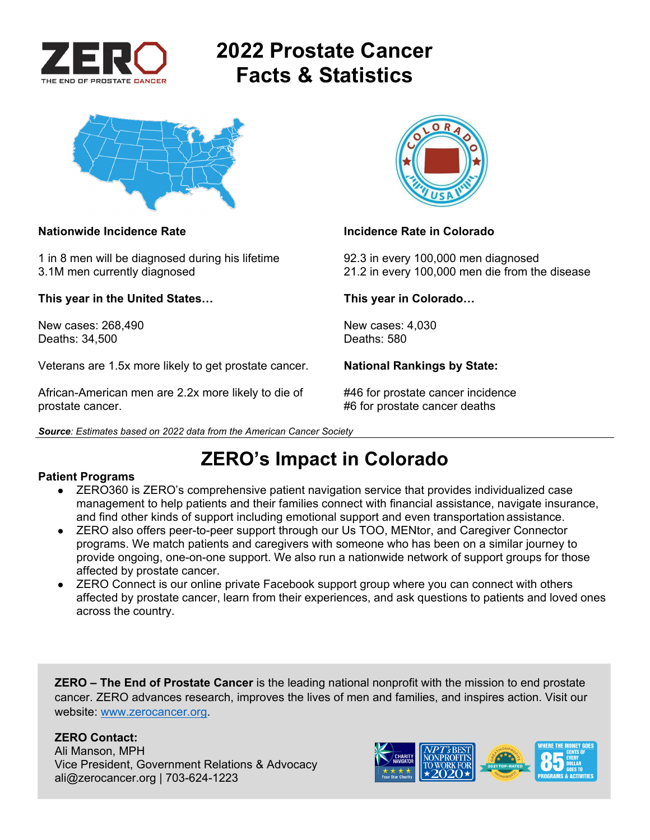

# **2022 Prostate Cancer Facts & Statistics**



1 in 8 men will be diagnosed during his lifetime 92.3 in every 100,000 men diagnosed

**This year in the United States… This year in Colorado…** 

New cases: 268,490 New cases: 4,030<br>Deaths: 34.500 Deaths: 580 Deaths: 34,500

Veterans are 1.5x more likely to get prostate cancer. **National Rankings by State:** 

African-American men are 2.2x more likely to die of #46 for prostate cancer incidence prostate cancer. #6 for prostate cancer deaths





### **Nationwide Incidence Rate Incidence Rate in Colorado Incidence Rate in Colorado**

3.1M men currently diagnosed 21.2 in every 100,000 men die from the disease

## **ZERO's Impact in Colorado**

### **Patient Programs**

- ZERO360 is ZERO's comprehensive patient navigation service that provides individualized case management to help patients and their families connect with financial assistance, navigate insurance, and find other kinds of support including emotional support and even transportation assistance.
- ZERO also offers peer-to-peer support through our Us TOO, MENtor, and Caregiver Connector programs. We match patients and caregivers with someone who has been on a similar journey to provide ongoing, one-on-one support. We also run a nationwide network of support groups for those affected by prostate cancer.
- ZERO Connect is our online private Facebook support group where you can connect with others affected by prostate cancer, learn from their experiences, and ask questions to patients and loved ones across the country.

**ZERO – The End of Prostate Cancer** is the leading national nonprofit with the mission to end prostate cancer. ZERO advances research, improves the lives of men and families, and inspires action. Visit our website: www.zerocancer.org.

### **ZERO Contact:**

Ali Manson, MPH Vice President, Government Relations & Advocacy ali@zerocancer.org | 703-624-1223